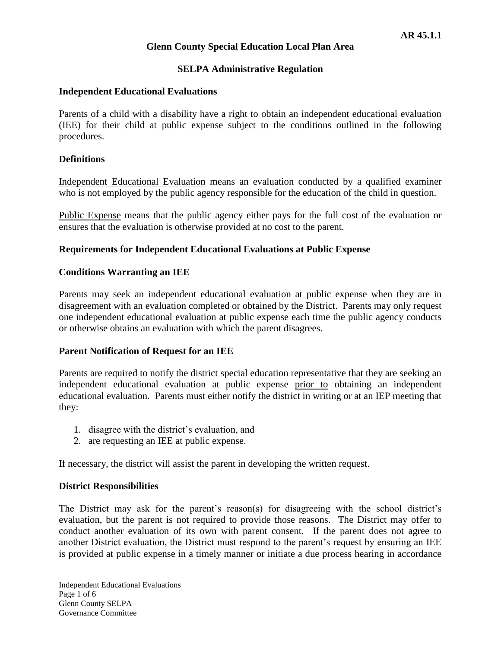## **SELPA Administrative Regulation**

#### **Independent Educational Evaluations**

Parents of a child with a disability have a right to obtain an independent educational evaluation (IEE) for their child at public expense subject to the conditions outlined in the following procedures.

## **Definitions**

Independent Educational Evaluation means an evaluation conducted by a qualified examiner who is not employed by the public agency responsible for the education of the child in question.

Public Expense means that the public agency either pays for the full cost of the evaluation or ensures that the evaluation is otherwise provided at no cost to the parent.

## **Requirements for Independent Educational Evaluations at Public Expense**

#### **Conditions Warranting an IEE**

Parents may seek an independent educational evaluation at public expense when they are in disagreement with an evaluation completed or obtained by the District. Parents may only request one independent educational evaluation at public expense each time the public agency conducts or otherwise obtains an evaluation with which the parent disagrees.

#### **Parent Notification of Request for an IEE**

Parents are required to notify the district special education representative that they are seeking an independent educational evaluation at public expense prior to obtaining an independent educational evaluation. Parents must either notify the district in writing or at an IEP meeting that they:

- 1. disagree with the district's evaluation, and
- 2. are requesting an IEE at public expense.

If necessary, the district will assist the parent in developing the written request.

#### **District Responsibilities**

The District may ask for the parent's reason(s) for disagreeing with the school district's evaluation, but the parent is not required to provide those reasons. The District may offer to conduct another evaluation of its own with parent consent. If the parent does not agree to another District evaluation, the District must respond to the parent's request by ensuring an IEE is provided at public expense in a timely manner or initiate a due process hearing in accordance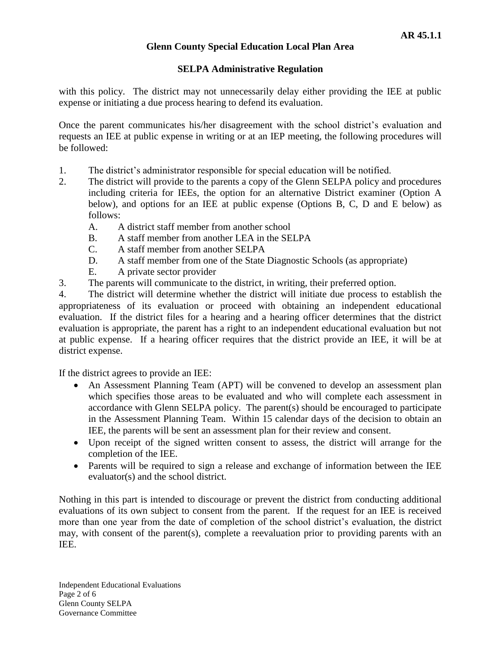# **SELPA Administrative Regulation**

with this policy. The district may not unnecessarily delay either providing the IEE at public expense or initiating a due process hearing to defend its evaluation.

Once the parent communicates his/her disagreement with the school district's evaluation and requests an IEE at public expense in writing or at an IEP meeting, the following procedures will be followed:

- 1. The district's administrator responsible for special education will be notified.
- 2. The district will provide to the parents a copy of the Glenn SELPA policy and procedures including criteria for IEEs, the option for an alternative District examiner (Option A below), and options for an IEE at public expense (Options B, C, D and E below) as follows:
	- A. A district staff member from another school
	- B. A staff member from another LEA in the SELPA
	- C. A staff member from another SELPA
	- D. A staff member from one of the State Diagnostic Schools (as appropriate)
	- E. A private sector provider
- 3. The parents will communicate to the district, in writing, their preferred option.

4. The district will determine whether the district will initiate due process to establish the appropriateness of its evaluation or proceed with obtaining an independent educational evaluation. If the district files for a hearing and a hearing officer determines that the district evaluation is appropriate, the parent has a right to an independent educational evaluation but not at public expense. If a hearing officer requires that the district provide an IEE, it will be at district expense.

If the district agrees to provide an IEE:

- An Assessment Planning Team (APT) will be convened to develop an assessment plan which specifies those areas to be evaluated and who will complete each assessment in accordance with Glenn SELPA policy. The parent(s) should be encouraged to participate in the Assessment Planning Team. Within 15 calendar days of the decision to obtain an IEE, the parents will be sent an assessment plan for their review and consent.
- Upon receipt of the signed written consent to assess, the district will arrange for the completion of the IEE.
- Parents will be required to sign a release and exchange of information between the IEE evaluator(s) and the school district.

Nothing in this part is intended to discourage or prevent the district from conducting additional evaluations of its own subject to consent from the parent. If the request for an IEE is received more than one year from the date of completion of the school district's evaluation, the district may, with consent of the parent(s), complete a reevaluation prior to providing parents with an IEE.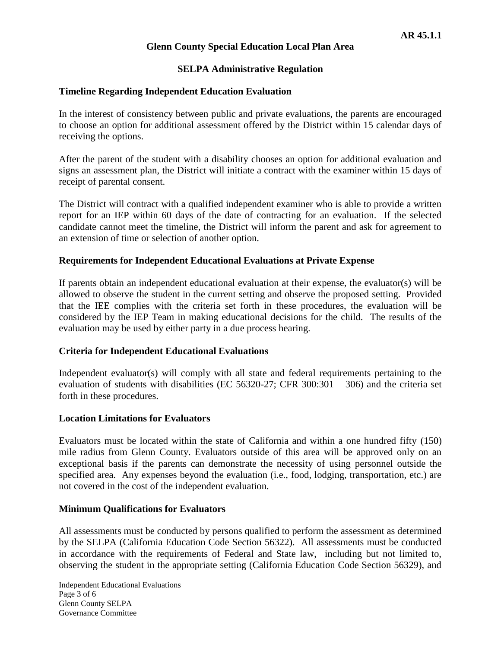# **SELPA Administrative Regulation**

## **Timeline Regarding Independent Education Evaluation**

In the interest of consistency between public and private evaluations, the parents are encouraged to choose an option for additional assessment offered by the District within 15 calendar days of receiving the options.

After the parent of the student with a disability chooses an option for additional evaluation and signs an assessment plan, the District will initiate a contract with the examiner within 15 days of receipt of parental consent.

The District will contract with a qualified independent examiner who is able to provide a written report for an IEP within 60 days of the date of contracting for an evaluation. If the selected candidate cannot meet the timeline, the District will inform the parent and ask for agreement to an extension of time or selection of another option.

## **Requirements for Independent Educational Evaluations at Private Expense**

If parents obtain an independent educational evaluation at their expense, the evaluator(s) will be allowed to observe the student in the current setting and observe the proposed setting. Provided that the IEE complies with the criteria set forth in these procedures, the evaluation will be considered by the IEP Team in making educational decisions for the child. The results of the evaluation may be used by either party in a due process hearing.

## **Criteria for Independent Educational Evaluations**

Independent evaluator(s) will comply with all state and federal requirements pertaining to the evaluation of students with disabilities (EC 56320-27; CFR 300:301 – 306) and the criteria set forth in these procedures.

#### **Location Limitations for Evaluators**

Evaluators must be located within the state of California and within a one hundred fifty (150) mile radius from Glenn County. Evaluators outside of this area will be approved only on an exceptional basis if the parents can demonstrate the necessity of using personnel outside the specified area. Any expenses beyond the evaluation (i.e., food, lodging, transportation, etc.) are not covered in the cost of the independent evaluation.

#### **Minimum Qualifications for Evaluators**

All assessments must be conducted by persons qualified to perform the assessment as determined by the SELPA (California Education Code Section 56322). All assessments must be conducted in accordance with the requirements of Federal and State law, including but not limited to, observing the student in the appropriate setting (California Education Code Section 56329), and

Independent Educational Evaluations Page 3 of 6 Glenn County SELPA Governance Committee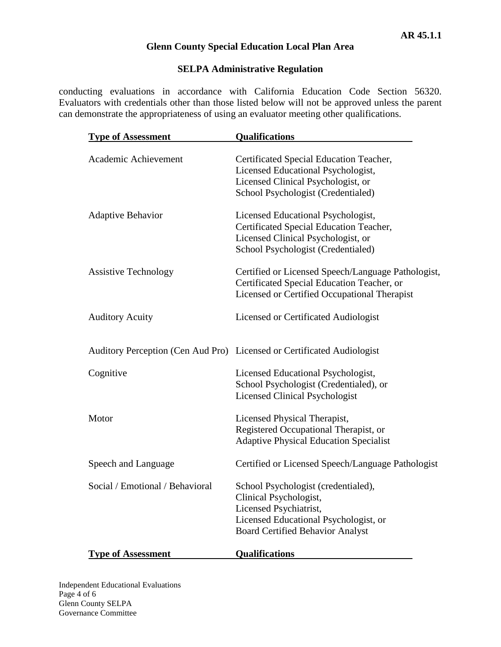# **SELPA Administrative Regulation**

conducting evaluations in accordance with California Education Code Section 56320. Evaluators with credentials other than those listed below will not be approved unless the parent can demonstrate the appropriateness of using an evaluator meeting other qualifications.

| <b>Type of Assessment</b>       | <b>Qualifications</b>                                                                                                                                                       |
|---------------------------------|-----------------------------------------------------------------------------------------------------------------------------------------------------------------------------|
| Academic Achievement            | Certificated Special Education Teacher,<br>Licensed Educational Psychologist,<br>Licensed Clinical Psychologist, or<br>School Psychologist (Credentialed)                   |
| Adaptive Behavior               | Licensed Educational Psychologist,<br>Certificated Special Education Teacher,<br>Licensed Clinical Psychologist, or<br>School Psychologist (Credentialed)                   |
| <b>Assistive Technology</b>     | Certified or Licensed Speech/Language Pathologist,<br>Certificated Special Education Teacher, or<br>Licensed or Certified Occupational Therapist                            |
| <b>Auditory Acuity</b>          | <b>Licensed or Certificated Audiologist</b>                                                                                                                                 |
|                                 | Auditory Perception (Cen Aud Pro) Licensed or Certificated Audiologist                                                                                                      |
| Cognitive                       | Licensed Educational Psychologist,<br>School Psychologist (Credentialed), or<br><b>Licensed Clinical Psychologist</b>                                                       |
| Motor                           | Licensed Physical Therapist,<br>Registered Occupational Therapist, or<br><b>Adaptive Physical Education Specialist</b>                                                      |
| Speech and Language             | Certified or Licensed Speech/Language Pathologist                                                                                                                           |
| Social / Emotional / Behavioral | School Psychologist (credentialed),<br>Clinical Psychologist,<br>Licensed Psychiatrist,<br>Licensed Educational Psychologist, or<br><b>Board Certified Behavior Analyst</b> |
| <b>Type of Assessment</b>       | <b>Qualifications</b>                                                                                                                                                       |

Independent Educational Evaluations Page 4 of 6 Glenn County SELPA Governance Committee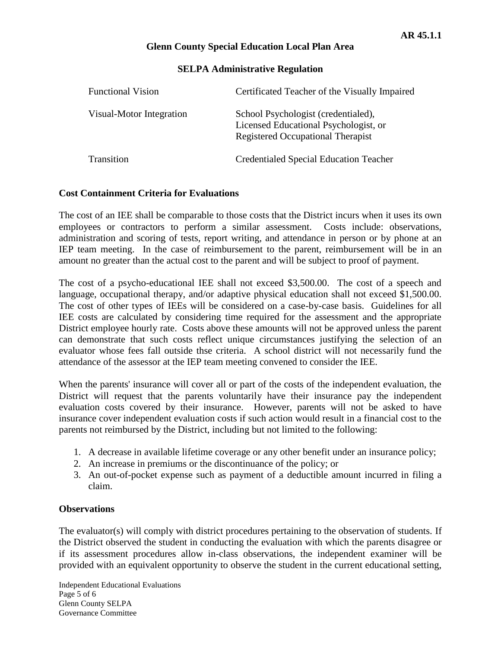#### **SELPA Administrative Regulation**

| <b>Functional Vision</b> | Certificated Teacher of the Visually Impaired                                                                     |
|--------------------------|-------------------------------------------------------------------------------------------------------------------|
| Visual-Motor Integration | School Psychologist (credentialed),<br>Licensed Educational Psychologist, or<br>Registered Occupational Therapist |
| <b>Transition</b>        | <b>Credentialed Special Education Teacher</b>                                                                     |

#### **Cost Containment Criteria for Evaluations**

The cost of an IEE shall be comparable to those costs that the District incurs when it uses its own employees or contractors to perform a similar assessment. Costs include: observations, administration and scoring of tests, report writing, and attendance in person or by phone at an IEP team meeting. In the case of reimbursement to the parent, reimbursement will be in an amount no greater than the actual cost to the parent and will be subject to proof of payment.

The cost of a psycho-educational IEE shall not exceed \$3,500.00. The cost of a speech and language, occupational therapy, and/or adaptive physical education shall not exceed \$1,500.00. The cost of other types of IEEs will be considered on a case-by-case basis. Guidelines for all IEE costs are calculated by considering time required for the assessment and the appropriate District employee hourly rate. Costs above these amounts will not be approved unless the parent can demonstrate that such costs reflect unique circumstances justifying the selection of an evaluator whose fees fall outside thse criteria. A school district will not necessarily fund the attendance of the assessor at the IEP team meeting convened to consider the IEE.

When the parents' insurance will cover all or part of the costs of the independent evaluation, the District will request that the parents voluntarily have their insurance pay the independent evaluation costs covered by their insurance. However, parents will not be asked to have insurance cover independent evaluation costs if such action would result in a financial cost to the parents not reimbursed by the District, including but not limited to the following:

- 1. A decrease in available lifetime coverage or any other benefit under an insurance policy;
- 2. An increase in premiums or the discontinuance of the policy; or
- 3. An out-of-pocket expense such as payment of a deductible amount incurred in filing a claim.

#### **Observations**

The evaluator(s) will comply with district procedures pertaining to the observation of students. If the District observed the student in conducting the evaluation with which the parents disagree or if its assessment procedures allow in-class observations, the independent examiner will be provided with an equivalent opportunity to observe the student in the current educational setting,

Independent Educational Evaluations Page 5 of 6 Glenn County SELPA Governance Committee